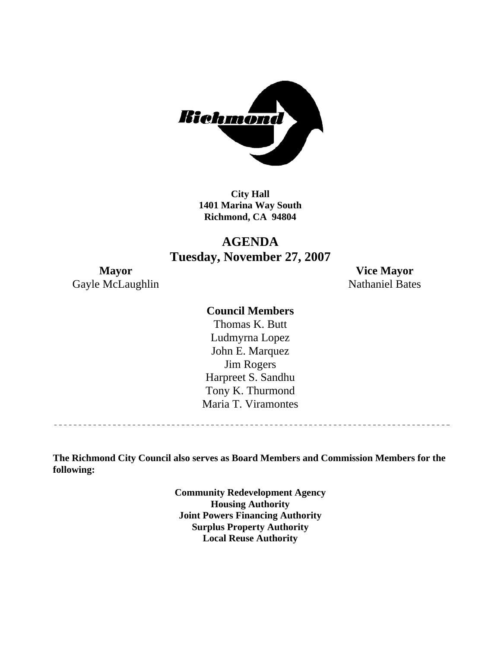

**City Hall 1401 Marina Way South Richmond, CA 94804** 

## **AGENDA Tuesday, November 27, 2007**

Gayle McLaughlin Nathaniel Bates

**Mayor Vice Mayor** 

## **Council Members**

Harpreet S. Sandhu Tony K. Thurmond Maria T. Viramontes Thomas K. Butt Ludmyrna Lopez John E. Marquez Jim Rogers

**The Richmond City Council also serves as Board Members and Commission Members for the following:** 

> **Community Redevelopment Agency Housing Authority Joint Powers Financing Authority Surplus Property Authority Local Reuse Authority**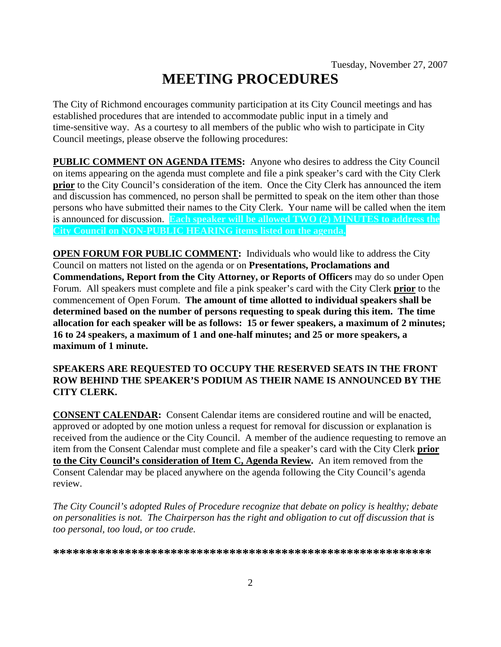# **MEETING PROCEDURES**

The City of Richmond encourages community participation at its City Council meetings and has established procedures that are intended to accommodate public input in a timely and time-sensitive way. As a courtesy to all members of the public who wish to participate in City Council meetings, please observe the following procedures:

**PUBLIC COMMENT ON AGENDA ITEMS:** Anyone who desires to address the City Council on items appearing on the agenda must complete and file a pink speaker's card with the City Clerk **prior** to the City Council's consideration of the item. Once the City Clerk has announced the item and discussion has commenced, no person shall be permitted to speak on the item other than those persons who have submitted their names to the City Clerk. Your name will be called when the item is announced for discussion. **Each speaker will be allowed TWO (2) MINUTES to address the City Council on NON-PUBLIC HEARING items listed on the agenda.** 

**OPEN FORUM FOR PUBLIC COMMENT:** Individuals who would like to address the City Council on matters not listed on the agenda or on **Presentations, Proclamations and Commendations, Report from the City Attorney, or Reports of Officers** may do so under Open Forum. All speakers must complete and file a pink speaker's card with the City Clerk **prior** to the commencement of Open Forum. **The amount of time allotted to individual speakers shall be determined based on the number of persons requesting to speak during this item. The time allocation for each speaker will be as follows: 15 or fewer speakers, a maximum of 2 minutes; 16 to 24 speakers, a maximum of 1 and one-half minutes; and 25 or more speakers, a maximum of 1 minute.** 

#### **SPEAKERS ARE REQUESTED TO OCCUPY THE RESERVED SEATS IN THE FRONT ROW BEHIND THE SPEAKER'S PODIUM AS THEIR NAME IS ANNOUNCED BY THE CITY CLERK.**

**CONSENT CALENDAR:** Consent Calendar items are considered routine and will be enacted, approved or adopted by one motion unless a request for removal for discussion or explanation is received from the audience or the City Council. A member of the audience requesting to remove an item from the Consent Calendar must complete and file a speaker's card with the City Clerk **prior to the City Council's consideration of Item C, Agenda Review.** An item removed from the Consent Calendar may be placed anywhere on the agenda following the City Council's agenda review.

*The City Council's adopted Rules of Procedure recognize that debate on policy is healthy; debate on personalities is not. The Chairperson has the right and obligation to cut off discussion that is too personal, too loud, or too crude.* 

**\*\*\*\*\*\*\*\*\*\*\*\*\*\*\*\*\*\*\*\*\*\*\*\*\*\*\*\*\*\*\*\*\*\*\*\*\*\*\*\*\*\*\*\*\*\*\*\*\*\*\*\*\*\*\*\*\*\***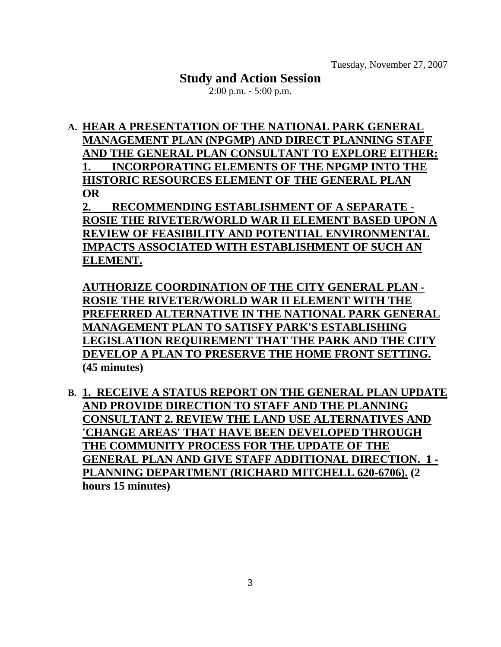## **Study and Action Session**

2:00 p.m. - 5:00 p.m.

**A. HEAR A PRESENTATION OF THE NATIONAL PARK GENERAL MANAGEMENT PLAN (NPGMP) AND DIRECT PLANNING STAFF AND THE GENERAL PLAN CONSULTANT TO EXPLORE EITHER: 1. INCORPORATING ELEMENTS OF THE NPGMP INTO THE HISTORIC RESOURCES ELEMENT OF THE GENERAL PLAN OR**

**2. RECOMMENDING ESTABLISHMENT OF A SEPARATE - ROSIE THE RIVETER/WORLD WAR II ELEMENT BASED UPON A REVIEW OF FEASIBILITY AND POTENTIAL ENVIRONMENTAL IMPACTS ASSOCIATED WITH ESTABLISHMENT OF SUCH AN ELEMENT.**

**AUTHORIZE COORDINATION OF THE CITY GENERAL PLAN - ROSIE THE RIVETER/WORLD WAR II ELEMENT WITH THE PREFERRED ALTERNATIVE IN THE NATIONAL PARK GENERAL MANAGEMENT PLAN TO SATISFY PARK'S ESTABLISHING LEGISLATION REQUIREMENT THAT THE PARK AND THE CITY DEVELOP A PLAN TO PRESERVE THE HOME FRONT SETTING. (45 minutes)** 

**B. 1. RECEIVE A STATUS REPORT ON THE GENERAL PLAN UPDATE AND PROVIDE DIRECTION TO STAFF AND THE PLANNING CONSULTANT 2. REVIEW THE LAND USE ALTERNATIVES AND 'CHANGE AREAS' THAT HAVE BEEN DEVELOPED THROUGH THE COMMUNITY PROCESS FOR THE UPDATE OF THE GENERAL PLAN AND GIVE STAFF ADDITIONAL DIRECTION. 1 - PLANNING DEPARTMENT (RICHARD MITCHELL 620-6706). (2 hours 15 minutes)**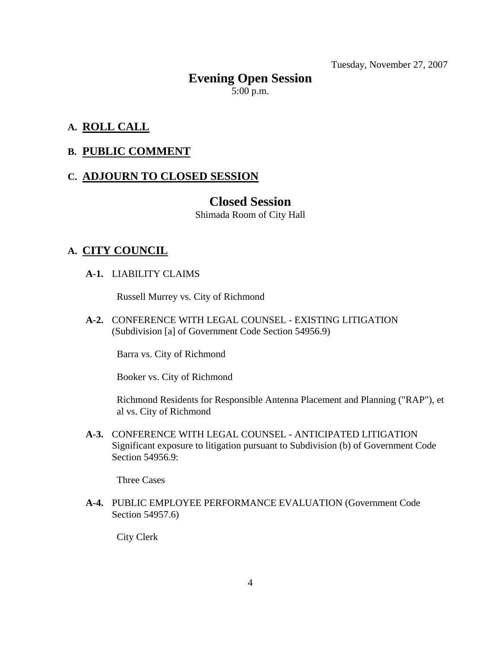Tuesday, November 27, 2007

## **Evening Open Session**   $5:00$  p.m.

## **A. ROLL CALL**

## **B. PUBLIC COMMENT**

## **C. ADJOURN TO CLOSED SESSION**

## **Closed Session**

Shimada Room of City Hall

## **A. CITY COUNCIL**

 **A-1.** LIABILITY CLAIMS

Russell Murrey vs. City of Richmond

 **A-2.** CONFERENCE WITH LEGAL COUNSEL - EXISTING LITIGATION (Subdivision [a] of Government Code Section 54956.9)

Barra vs. City of Richmond

Booker vs. City of Richmond

Richmond Residents for Responsible Antenna Placement and Planning ("RAP"), et al vs. City of Richmond

 **A-3.** CONFERENCE WITH LEGAL COUNSEL - ANTICIPATED LITIGATION Significant exposure to litigation pursuant to Subdivision (b) of Government Code Section 54956.9:

Three Cases

 **A-4.** PUBLIC EMPLOYEE PERFORMANCE EVALUATION (Government Code Section 54957.6)

City Clerk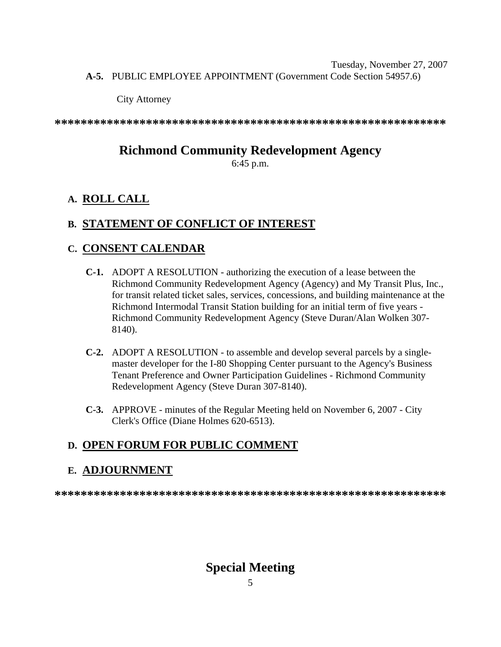Tuesday, November 27, 2007  **A-5.** PUBLIC EMPLOYEE APPOINTMENT (Government Code Section 54957.6)

City Attorney

**\*\*\*\*\*\*\*\*\*\*\*\*\*\*\*\*\*\*\*\*\*\*\*\*\*\*\*\*\*\*\*\*\*\*\*\*\*\*\*\*\*\*\*\*\*\*\*\*\*\*\*\*\*\*\*\*\*\*\*\*** 

## **Richmond Community Redevelopment Agency**

6:45 p.m.

## **A. ROLL CALL**

## **B. STATEMENT OF CONFLICT OF INTEREST**

## **C. CONSENT CALENDAR**

- **C-1.** ADOPT A RESOLUTION authorizing the execution of a lease between the Richmond Community Redevelopment Agency (Agency) and My Transit Plus, Inc., for transit related ticket sales, services, concessions, and building maintenance at the Richmond Intermodal Transit Station building for an initial term of five years - Richmond Community Redevelopment Agency (Steve Duran/Alan Wolken 307- 8140).
- **C-2.** ADOPT A RESOLUTION to assemble and develop several parcels by a singlemaster developer for the I-80 Shopping Center pursuant to the Agency's Business Tenant Preference and Owner Participation Guidelines - Richmond Community Redevelopment Agency (Steve Duran 307-8140).
- **C-3.** APPROVE minutes of the Regular Meeting held on November 6, 2007 City Clerk's Office (Diane Holmes 620-6513).

## **D. OPEN FORUM FOR PUBLIC COMMENT**

## **E. ADJOURNMENT**

**\*\*\*\*\*\*\*\*\*\*\*\*\*\*\*\*\*\*\*\*\*\*\*\*\*\*\*\*\*\*\*\*\*\*\*\*\*\*\*\*\*\*\*\*\*\*\*\*\*\*\*\*\*\*\*\*\*\*\*\*** 

## **Special Meeting**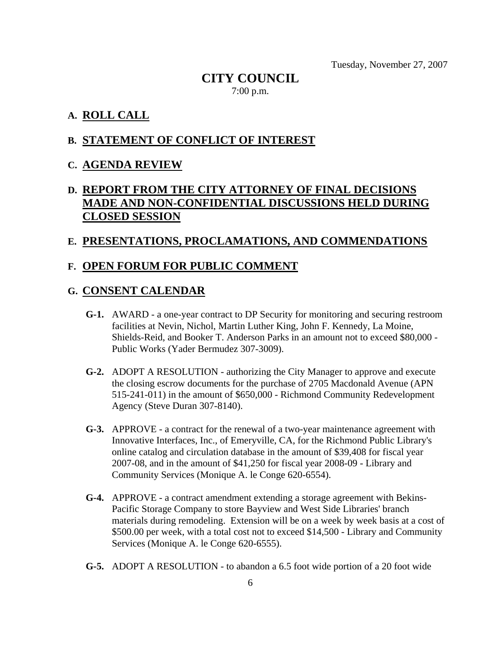Tuesday, November 27, 2007

## **CITY COUNCIL**  7:00 p.m.

#### **A. ROLL CALL**

## **B. STATEMENT OF CONFLICT OF INTEREST**

#### **C. AGENDA REVIEW**

## **D. REPORT FROM THE CITY ATTORNEY OF FINAL DECISIONS MADE AND NON-CONFIDENTIAL DISCUSSIONS HELD DURING CLOSED SESSION**

#### **E. PRESENTATIONS, PROCLAMATIONS, AND COMMENDATIONS**

#### **F. OPEN FORUM FOR PUBLIC COMMENT**

#### **G. CONSENT CALENDAR**

- **G-1.** AWARD a one-year contract to DP Security for monitoring and securing restroom facilities at Nevin, Nichol, Martin Luther King, John F. Kennedy, La Moine, Shields-Reid, and Booker T. Anderson Parks in an amount not to exceed \$80,000 - Public Works (Yader Bermudez 307-3009).
- **G-2.** ADOPT A RESOLUTION authorizing the City Manager to approve and execute the closing escrow documents for the purchase of 2705 Macdonald Avenue (APN 515-241-011) in the amount of \$650,000 - Richmond Community Redevelopment Agency (Steve Duran 307-8140).
- **G-3.** APPROVE a contract for the renewal of a two-year maintenance agreement with Innovative Interfaces, Inc., of Emeryville, CA, for the Richmond Public Library's online catalog and circulation database in the amount of \$39,408 for fiscal year 2007-08, and in the amount of \$41,250 for fiscal year 2008-09 - Library and Community Services (Monique A. le Conge 620-6554).
- **G-4.** APPROVE a contract amendment extending a storage agreement with Bekins-Pacific Storage Company to store Bayview and West Side Libraries' branch materials during remodeling. Extension will be on a week by week basis at a cost of \$500.00 per week, with a total cost not to exceed \$14,500 - Library and Community Services (Monique A. le Conge 620-6555).
- **G-5.** ADOPT A RESOLUTION to abandon a 6.5 foot wide portion of a 20 foot wide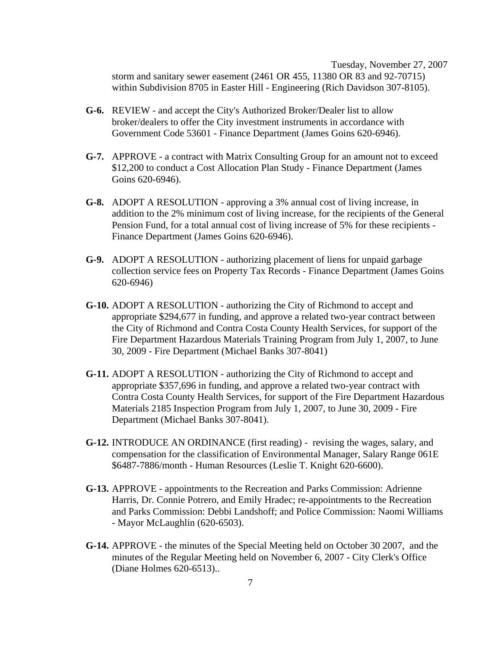Tuesday, November 27, 2007 storm and sanitary sewer easement (2461 OR 455, 11380 OR 83 and 92-70715) within Subdivision 8705 in Easter Hill - Engineering (Rich Davidson 307-8105).

- **G-6.** REVIEW and accept the City's Authorized Broker/Dealer list to allow broker/dealers to offer the City investment instruments in accordance with Government Code 53601 - Finance Department (James Goins 620-6946).
- **G-7.** APPROVE a contract with Matrix Consulting Group for an amount not to exceed \$12,200 to conduct a Cost Allocation Plan Study - Finance Department (James Goins 620-6946).
- **G-8.** ADOPT A RESOLUTION approving a 3% annual cost of living increase, in addition to the 2% minimum cost of living increase, for the recipients of the General Pension Fund, for a total annual cost of living increase of 5% for these recipients - Finance Department (James Goins 620-6946).
- **G-9.** ADOPT A RESOLUTION authorizing placement of liens for unpaid garbage collection service fees on Property Tax Records - Finance Department (James Goins 620-6946)
- **G-10.** ADOPT A RESOLUTION authorizing the City of Richmond to accept and appropriate \$294,677 in funding, and approve a related two-year contract between the City of Richmond and Contra Costa County Health Services, for support of the Fire Department Hazardous Materials Training Program from July 1, 2007, to June 30, 2009 - Fire Department (Michael Banks 307-8041)
- **G-11.** ADOPT A RESOLUTION authorizing the City of Richmond to accept and appropriate \$357,696 in funding, and approve a related two-year contract with Contra Costa County Health Services, for support of the Fire Department Hazardous Materials 2185 Inspection Program from July 1, 2007, to June 30, 2009 - Fire Department (Michael Banks 307-8041).
- **G-12.** INTRODUCE AN ORDINANCE (first reading) revising the wages, salary, and compensation for the classification of Environmental Manager, Salary Range 061E \$6487-7886/month - Human Resources (Leslie T. Knight 620-6600).
- **G-13.** APPROVE appointments to the Recreation and Parks Commission: Adrienne Harris, Dr. Connie Potrero, and Emily Hradec; re-appointments to the Recreation and Parks Commission: Debbi Landshoff; and Police Commission: Naomi Williams - Mayor McLaughlin (620-6503).
- **G-14.** APPROVE the minutes of the Special Meeting held on October 30 2007, and the minutes of the Regular Meeting held on November 6, 2007 - City Clerk's Office (Diane Holmes 620-6513)..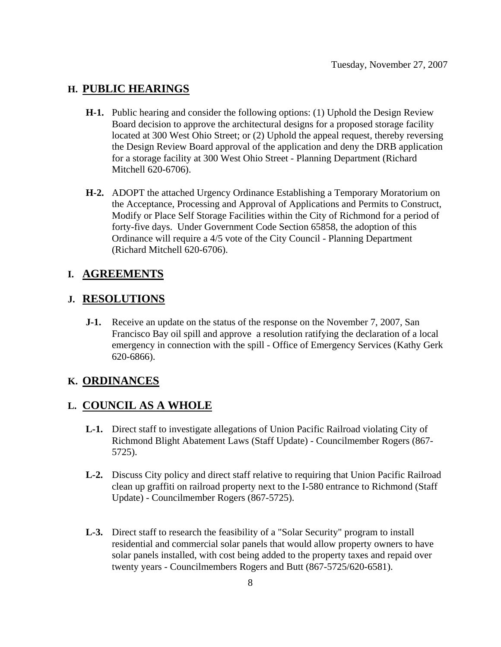## **H. PUBLIC HEARINGS**

- **H-1.** Public hearing and consider the following options: (1) Uphold the Design Review Board decision to approve the architectural designs for a proposed storage facility located at 300 West Ohio Street; or (2) Uphold the appeal request, thereby reversing the Design Review Board approval of the application and deny the DRB application for a storage facility at 300 West Ohio Street - Planning Department (Richard Mitchell 620-6706).
- **H-2.** ADOPT the attached Urgency Ordinance Establishing a Temporary Moratorium on the Acceptance, Processing and Approval of Applications and Permits to Construct, Modify or Place Self Storage Facilities within the City of Richmond for a period of forty-five days. Under Government Code Section 65858, the adoption of this Ordinance will require a 4/5 vote of the City Council - Planning Department (Richard Mitchell 620-6706).

## **I. AGREEMENTS**

#### **J. RESOLUTIONS**

 **J-1.** Receive an update on the status of the response on the November 7, 2007, San Francisco Bay oil spill and approve a resolution ratifying the declaration of a local emergency in connection with the spill - Office of Emergency Services (Kathy Gerk 620-6866).

#### **K. ORDINANCES**

#### **L. COUNCIL AS A WHOLE**

- **L-1.** Direct staff to investigate allegations of Union Pacific Railroad violating City of Richmond Blight Abatement Laws (Staff Update) - Councilmember Rogers (867- 5725).
- **L-2.** Discuss City policy and direct staff relative to requiring that Union Pacific Railroad clean up graffiti on railroad property next to the I-580 entrance to Richmond (Staff Update) - Councilmember Rogers (867-5725).
- **L-3.** Direct staff to research the feasibility of a "Solar Security" program to install residential and commercial solar panels that would allow property owners to have solar panels installed, with cost being added to the property taxes and repaid over twenty years - Councilmembers Rogers and Butt (867-5725/620-6581).